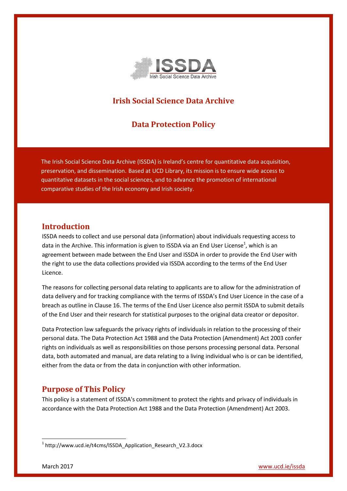

# **Irish Social Science Data Archive**

## **Data Protection Policy**

The Irish Social Science Data Archive (ISSDA) is Ireland's centre for quantitative data acquisition, preservation, and dissemination. Based at [UCD Library,](http://www.ucd.ie/library) its mission is to ensure wide access to quantitative datasets in the social sciences, and to advance the promotion of international comparative studies of the Irish economy and Irish society.

#### **Introduction**

ISSDA needs to collect and use personal data (information) about individuals requesting access to data in the Archive. This information is given to ISSDA via an End User License<sup>1</sup>, which is an agreement between made between the End User and ISSDA in order to provide the End User with the right to use the data collections provided via ISSDA according to the terms of the End User Licence.

The reasons for collecting personal data relating to applicants are to allow for the administration of data delivery and for tracking compliance with the terms of ISSDA's End User Licence in the case of a breach as outline in Clause 16. The terms of the End User Licence also permit ISSDA to submit details of the End User and their research for statistical purposes to the original data creator or depositor.

Data Protection law safeguards the privacy rights of individuals in relation to the processing of their personal data. The Data Protection Act 1988 and the Data Protection (Amendment) Act 2003 confer rights on individuals as well as responsibilities on those persons processing personal data. Personal data, both automated and manual, are data relating to a living individual who is or can be identified, either from the data or from the data in conjunction with other information.

## **Purpose of This Policy**

This policy is a statement of ISSDA's commitment to protect the rights and privacy of individuals in accordance with the Data Protection Act 1988 and the Data Protection (Amendment) Act 2003.

**.** 

<sup>&</sup>lt;sup>1</sup> http://www.ucd.ie/t4cms/ISSDA\_Application\_Research\_V2.3.docx